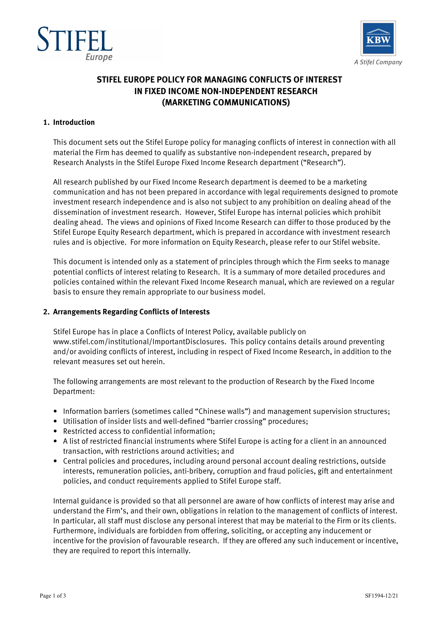



# **STIFEL EUROPE POLICY FOR MANAGING CONFLICTS OF INTEREST IN FIXED INCOME NON-INDEPENDENT RESEARCH (MARKETING COMMUNICATIONS)**

## **1. Introduction**

This document sets out the Stifel Europe policy for managing conflicts of interest in connection with all material the Firm has deemed to qualify as substantive non-independent research, prepared by Research Analysts in the Stifel Europe Fixed Income Research department ("Research").

All research published by our Fixed Income Research department is deemed to be a marketing communication and has not been prepared in accordance with legal requirements designed to promote investment research independence and is also not subject to any prohibition on dealing ahead of the dissemination of investment research. However, Stifel Europe has internal policies which prohibit dealing ahead. The views and opinions of Fixed Income Research can differ to those produced by the Stifel Europe Equity Research department, which is prepared in accordance with investment research rules and is objective. For more information on Equity Research, please refer to our Stifel website.

This document is intended only as a statement of principles through which the Firm seeks to manage potential conflicts of interest relating to Research. It is a summary of more detailed procedures and policies contained within the relevant Fixed Income Research manual, which are reviewed on a regular basis to ensure they remain appropriate to our business model.

## **2. Arrangements Regarding Conflicts of Interests**

Stifel Europe has in place a Conflicts of Interest Policy, available publicly on www.stifel.com/institutional/ImportantDisclosures. This policy contains details around preventing and/or avoiding conflicts of interest, including in respect of Fixed Income Research, in addition to the relevant measures set out herein.

The following arrangements are most relevant to the production of Research by the Fixed Income Department:

- Information barriers (sometimes called "Chinese walls") and management supervision structures;
- Utilisation of insider lists and well-defined "barrier crossing" procedures;
- Restricted access to confidential information;
- A list of restricted financial instruments where Stifel Europe is acting for a client in an announced transaction, with restrictions around activities; and
- Central policies and procedures, including around personal account dealing restrictions, outside interests, remuneration policies, anti-bribery, corruption and fraud policies, gift and entertainment policies, and conduct requirements applied to Stifel Europe staff.

Internal guidance is provided so that all personnel are aware of how conflicts of interest may arise and understand the Firm's, and their own, obligations in relation to the management of conflicts of interest. In particular, all staff must disclose any personal interest that may be material to the Firm or its clients. Furthermore, individuals are forbidden from offering, soliciting, or accepting any inducement or incentive for the provision of favourable research. If they are offered any such inducement or incentive, they are required to report this internally.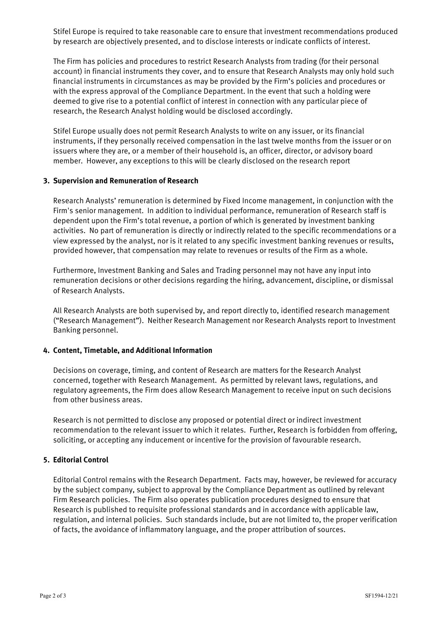Stifel Europe is required to take reasonable care to ensure that investment recommendations produced by research are objectively presented, and to disclose interests or indicate conflicts of interest.

The Firm has policies and procedures to restrict Research Analysts from trading (for their personal account) in financial instruments they cover, and to ensure that Research Analysts may only hold such financial instruments in circumstances as may be provided by the Firm's policies and procedures or with the express approval of the Compliance Department. In the event that such a holding were deemed to give rise to a potential conflict of interest in connection with any particular piece of research, the Research Analyst holding would be disclosed accordingly.

Stifel Europe usually does not permit Research Analysts to write on any issuer, or its financial instruments, if they personally received compensation in the last twelve months from the issuer or on issuers where they are, or a member of their household is, an officer, director, or advisory board member. However, any exceptions to this will be clearly disclosed on the research report

## **3. Supervision and Remuneration of Research**

Research Analysts' remuneration is determined by Fixed Income management, in conjunction with the Firm's senior management. In addition to individual performance, remuneration of Research staff is dependent upon the Firm's total revenue, a portion of which is generated by investment banking activities. No part of remuneration is directly or indirectly related to the specific recommendations or a view expressed by the analyst, nor is it related to any specific investment banking revenues or results, provided however, that compensation may relate to revenues or results of the Firm as a whole.

Furthermore, Investment Banking and Sales and Trading personnel may not have any input into remuneration decisions or other decisions regarding the hiring, advancement, discipline, or dismissal of Research Analysts.

All Research Analysts are both supervised by, and report directly to, identified research management ("Research Management"). Neither Research Management nor Research Analysts report to Investment Banking personnel.

#### **4. Content, Timetable, and Additional Information**

Decisions on coverage, timing, and content of Research are matters for the Research Analyst concerned, together with Research Management. As permitted by relevant laws, regulations, and regulatory agreements, the Firm does allow Research Management to receive input on such decisions from other business areas.

Research is not permitted to disclose any proposed or potential direct or indirect investment recommendation to the relevant issuer to which it relates. Further, Research is forbidden from offering, soliciting, or accepting any inducement or incentive for the provision of favourable research.

# **5. Editorial Control**

Editorial Control remains with the Research Department. Facts may, however, be reviewed for accuracy by the subject company, subject to approval by the Compliance Department as outlined by relevant Firm Research policies. The Firm also operates publication procedures designed to ensure that Research is published to requisite professional standards and in accordance with applicable law, regulation, and internal policies. Such standards include, but are not limited to, the proper verification of facts, the avoidance of inflammatory language, and the proper attribution of sources.